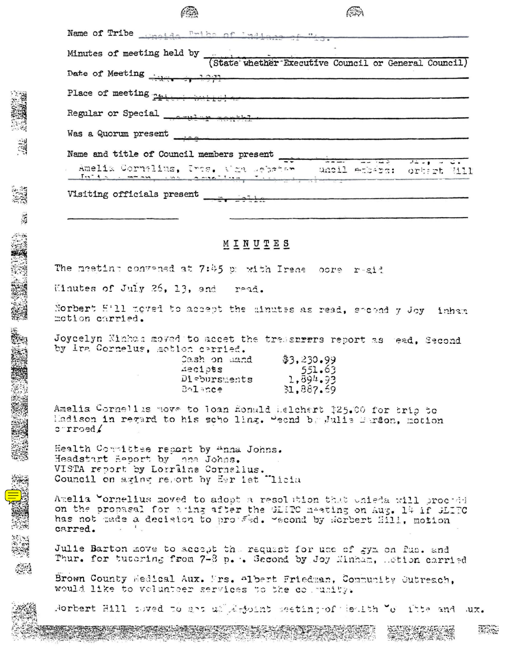| Name of Tribe wholds Inice of Ludians of "is.                                                                                                                                                                                        |  |
|--------------------------------------------------------------------------------------------------------------------------------------------------------------------------------------------------------------------------------------|--|
| Minutes of meeting held by (State whether Executive Council or General Council)                                                                                                                                                      |  |
|                                                                                                                                                                                                                                      |  |
| Place of meeting <del>Phisman Willer's and announcement and allegene</del> rations of meeting $p_{\text{min}}$                                                                                                                       |  |
| Regular or Special <b>company and the complete of the company of the company of the company of the company of the company of the company of the company of the company of the company of the company of the company of the compa</b> |  |
| Was a Quorum present experience and the set of the set of the set of the set of the set of the set of the set of the set of the set of the set of the set of the set of the set of the set of the set of the set of the set of       |  |
| Name and title of Council members present $\frac{1}{\sqrt{1-\frac{1}{2}}\sqrt{1-\frac{1}{2}}\sqrt{1-\frac{1}{2}}\sqrt{1-\frac{1}{2}}\sqrt{1-\frac{1}{2}}}}$                                                                          |  |
| Amelia Cornalius, Ints, Mira Sebatan - unsil exhabs: ortegt Will<br><u>fulls and manufacture Incomediate</u>                                                                                                                         |  |
|                                                                                                                                                                                                                                      |  |
|                                                                                                                                                                                                                                      |  |
|                                                                                                                                                                                                                                      |  |
| MINUTES                                                                                                                                                                                                                              |  |
| The meeting convened at 7:45 p. with Ireas core resid                                                                                                                                                                                |  |
| Minutes of July 26, 13, and read.                                                                                                                                                                                                    |  |
| Norbert H'll noved to accept the minutes as read, shoond y Joy inhan<br>motion carried.                                                                                                                                              |  |
| Joycelyn Ninhom moved to accet the tressnrrrs report as ead, Second<br>by Ira Cornelus, motion cerried.                                                                                                                              |  |
| Cash on aand<br>\$3,230.99                                                                                                                                                                                                           |  |
| recipts<br>551.63<br>1,894.93<br>Disbursments                                                                                                                                                                                        |  |
| 31,887.69<br>$B0$ and $e$                                                                                                                                                                                                            |  |
| Amelia Cornellis move to loan fonald Lelchert 125.00 for trip to<br>Hadison in regard to his scho ling. Weend by Julis Bardon, motion<br>corroed/                                                                                    |  |
| Health Connittee report by "nna Johns.<br>Headstart Beport by ana Johns.<br>VISTA report by Lorriine Cornelius.<br>Council on aging report by Her let "licia                                                                         |  |
| Amelia "ornelius moved to adopt a resolution that unieda will procede<br>on the propasal for ating after the GLIPC meeting on Aug. 14 if SLIPC<br>has not made a decision to pro fed. Wecond by Worbert Hill, motion<br>carred.      |  |
| Julie Barton move to accept the request for use of gym on fue. and<br>Thur. for tutering from 7-8 p. . Second by Joy Hinham, .etion carried                                                                                          |  |
| Brown County Wedical Aux. Frs. albert Friedman, Community Outreach.<br>would like to volunteer services to the couranty.                                                                                                             |  |

Norbert Hill noved to ans un detection secting of teatth "o lite and  $UX$ .

TERS:

37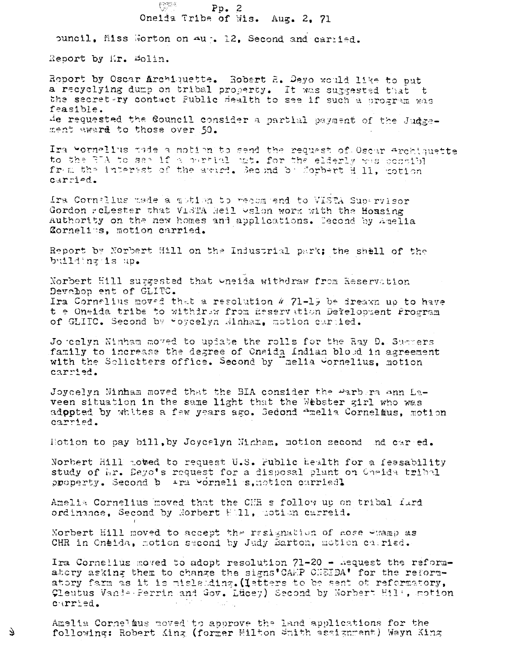## $\mathbb{C}^{\text{max}}$  $Pp.2$ Oneida Tribe of Wis. Aug. 2. 71

puncil, Miss Worton on Au . 12. Second and carried.

Report by Kr. Molin.

È.

Report by Oscar Archiquette. Robert 2. Deyo would like to put a recyclying dump on tribal property. It was suggested that t the secretery contact Public Health to see if such a program was feasible. de requested the Council consider a partial payment of the Judgement award to those over 50.

Ira wornellus made a motion to send the request of Oscar Archiquette to the BLA to sam if a purtial mot. for the elderly was consible from the interest of the avard. Second by Sorbert H 11, rotion carried.

Ira Cornellus made a motion to recommend to VISTA Supervisor Gordon relester that V18TA Meil wslon work with the Housing Authority on the new homes and applications. Becond by Amelia Mornelius, motion carried.

Report by Norbert Hill on the Industrial park; the shell of the building is up.

Norbert Hill surgested that uneida withdraw from Reservation Develop ent of GLITC. Ira Cornelius moved that a resolution h 71-19 be dream up to have t e Oneida tribe to withdraw from Reservation Derelopment Program of GLITC. Second by Yoycelyn Winham, motion carried.

Jo celyn Ninham moved to update the rolls for the Ray D. Summers family to increase the degree of Oneida Indian blood in agreement with the Soliciters office. Second by Thelia Cornelius, notion carried.

Joycelyn Ninham moved that the BIA consider the Parbera ann Laveen situation in the same light that the Webster girl who was adppted by whites a few years ago. Sedond finelia Cornelius, motion carried.

Hotion to pay bill, by Joycelyn Minham, motion second and cared.

Norbert Hill noted to request U.S. Public health for a feasability study of Ar. Deyo's request for a disposal plant on Cheida tribal property. Second b tra vorneli s, notion carriedl

Amelia Cornelius moved that the CHR s follow up on tribal furd ordinance, Second by Norbert H111, notion carreid.

Norbert Hill moved to accept the resignation of hose ewamp as CHR in Cneida, motion second by Judy Barton, motion carried.

Ira Cornelius moved to adopt resolution 71-20 - nequest the reformatory asking them to change the signs'CAEP CEEIDA' for the reformatory farm as it is misledding. (letters to be sent ot reformatory, Cleutus Vande Perrin and Gov. Lucey) Second by Norbert Hill, motion carried.

Amelia Cornelius moved to approve the land applications for the following: Robert King (former Milton Smith assignment) Wayn King